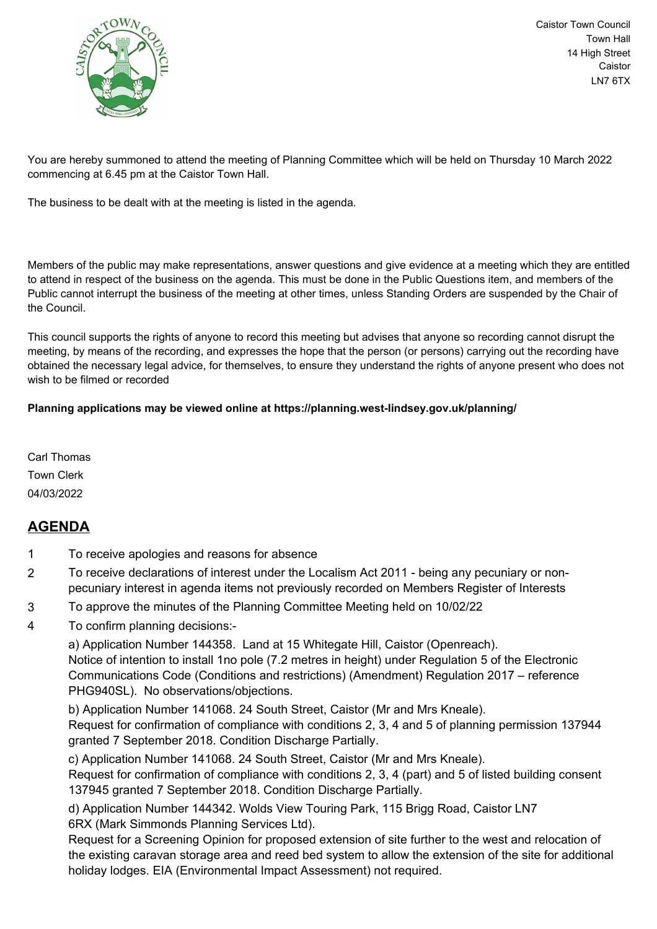

Caistor Town Council Town Hall 14 High Street Caistor LN7 6TX

You are hereby summoned to attend the meeting of Planning Committee which will be held on Thursday 10 March 2022 commencing at 6.45 pm at the Caistor Town Hall.

The business to be dealt with at the meeting is listed in the agenda.

Members of the public may make representations, answer questions and give evidence at a meeting which they are entitled to attend in respect of the business on the agenda. This must be done in the Public Questions item, and members of the Public cannot interrupt the business of the meeting at other times, unless Standing Orders are suspended by the Chair of the Council.

This council supports the rights of anyone to record this meeting but advises that anyone so recording cannot disrupt the meeting, by means of the recording, and expresses the hope that the person (or persons) carrying out the recording have obtained the necessary legal advice, for themselves, to ensure they understand the rights of anyone present who does not wish to be filmed or recorded

## **Planning applications may be viewed online at https://planning.west-lindsey.gov.uk/planning/**

Carl Thomas Town Clerk 04/03/2022

## **AGENDA**

- 1 To receive apologies and reasons for absence
- 2 To receive declarations of interest under the Localism Act 2011 being any pecuniary or nonpecuniary interest in agenda items not previously recorded on Members Register of Interests
- 3 To approve the minutes of the Planning Committee Meeting held on 10/02/22
- 4 To confirm planning decisions:-

a) Application Number 144358. Land at 15 Whitegate Hill, Caistor (Openreach). Notice of intention to install 1no pole (7.2 metres in height) under Regulation 5 of the Electronic Communications Code (Conditions and restrictions) (Amendment) Regulation 2017 – reference PHG940SL). No observations/objections.

b) Application Number 141068. 24 South Street, Caistor (Mr and Mrs Kneale).

Request for confirmation of compliance with conditions 2, 3, 4 and 5 of planning permission 137944 granted 7 September 2018. Condition Discharge Partially.

c) Application Number 141068. 24 South Street, Caistor (Mr and Mrs Kneale).

Request for confirmation of compliance with conditions 2, 3, 4 (part) and 5 of listed building consent 137945 granted 7 September 2018. Condition Discharge Partially.

d) Application Number 144342. Wolds View Touring Park, 115 Brigg Road, Caistor LN7 6RX (Mark Simmonds Planning Services Ltd).

Request for a Screening Opinion for proposed extension of site further to the west and relocation of the existing caravan storage area and reed bed system to allow the extension of the site for additional holiday lodges. EIA (Environmental Impact Assessment) not required.